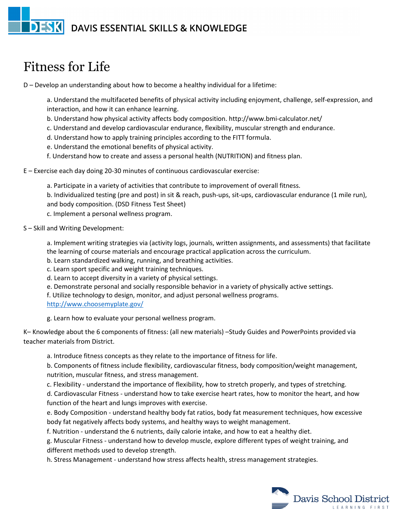## **DESK** DAVIS ESSENTIAL SKILLS & KNOWLEDGE

## Fitness for Life

D – Develop an understanding about how to become a healthy individual for a lifetime:

a. Understand the multifaceted benefits of physical activity including enjoyment, challenge, self-expression, and interaction, and how it can enhance learning.

- b. Understand how physical activity affects body composition. http://www.bmi-calculator.net/
- c. Understand and develop cardiovascular endurance, flexibility, muscular strength and endurance.
- d. Understand how to apply training principles according to the FITT formula.
- e. Understand the emotional benefits of physical activity.
- f. Understand how to create and assess a personal health (NUTRITION) and fitness plan.
- E Exercise each day doing 20-30 minutes of continuous cardiovascular exercise:
	- a. Participate in a variety of activities that contribute to improvement of overall fitness. b. Individualized testing (pre and post) in sit & reach, push-ups, sit-ups, cardiovascular endurance (1 mile run), and body composition. (DSD Fitness Test Sheet) c. Implement a personal wellness program.

S – Skill and Writing Development:

a. Implement writing strategies via (activity logs, journals, written assignments, and assessments) that facilitate the learning of course materials and encourage practical application across the curriculum.

- b. Learn standardized walking, running, and breathing activities.
- c. Learn sport specific and weight training techniques.
- d. Learn to accept diversity in a variety of physical settings.
- e. Demonstrate personal and socially responsible behavior in a variety of physically active settings.
- f. Utilize technology to design, monitor, and adjust personal wellness programs.
- <http://www.choosemyplate.gov/>

g. Learn how to evaluate your personal wellness program.

K– Knowledge about the 6 components of fitness: (all new materials) –Study Guides and PowerPoints provided via teacher materials from District.

a. Introduce fitness concepts as they relate to the importance of fitness for life.

b. Components of fitness include flexibility, cardiovascular fitness, body composition/weight management, nutrition, muscular fitness, and stress management.

c. Flexibility - understand the importance of flexibility, how to stretch properly, and types of stretching.

d. Cardiovascular Fitness - understand how to take exercise heart rates, how to monitor the heart, and how function of the heart and lungs improves with exercise.

e. Body Composition - understand healthy body fat ratios, body fat measurement techniques, how excessive body fat negatively affects body systems, and healthy ways to weight management.

f. Nutrition - understand the 6 nutrients, daily calorie intake, and how to eat a healthy diet.

g. Muscular Fitness - understand how to develop muscle, explore different types of weight training, and different methods used to develop strength.

h. Stress Management - understand how stress affects health, stress management strategies.